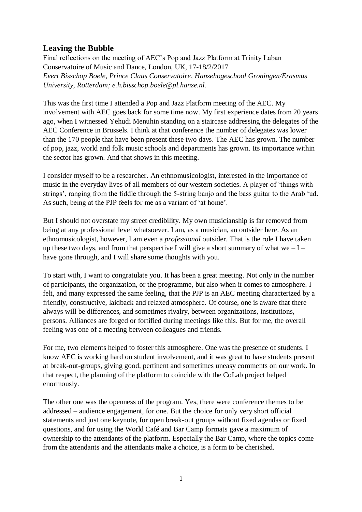## **Leaving the Bubble**

Final reflections on the meeting of AEC's Pop and Jazz Platform at Trinity Laban Conservatoire of Music and Dance, London, UK, 17-18/2/2017 *Evert Bisschop Boele, Prince Claus Conservatoire, Hanzehogeschool Groningen/Erasmus University, Rotterdam; e.h.bisschop.boele@pl.hanze.nl.*

This was the first time I attended a Pop and Jazz Platform meeting of the AEC. My involvement with AEC goes back for some time now. My first experience dates from 20 years ago, when I witnessed Yehudi Menuhin standing on a staircase addressing the delegates of the AEC Conference in Brussels. I think at that conference the number of delegates was lower than the 170 people that have been present these two days. The AEC has grown. The number of pop, jazz, world and folk music schools and departments has grown. Its importance within the sector has grown. And that shows in this meeting.

I consider myself to be a researcher. An ethnomusicologist, interested in the importance of music in the everyday lives of all members of our western societies. A player of 'things with strings', ranging from the fiddle through the 5-string banjo and the bass guitar to the Arab 'ud. As such, being at the PJP feels for me as a variant of 'at home'.

But I should not overstate my street credibility. My own musicianship is far removed from being at any professional level whatsoever. I am, as a musician, an outsider here. As an ethnomusicologist, however, I am even a *professional* outsider. That is the role I have taken up these two days, and from that perspective I will give a short summary of what we  $-I$  – have gone through, and I will share some thoughts with you.

To start with, I want to congratulate you. It has been a great meeting. Not only in the number of participants, the organization, or the programme, but also when it comes to atmosphere. I felt, and many expressed the same feeling, that the PJP is an AEC meeting characterized by a friendly, constructive, laidback and relaxed atmosphere. Of course, one is aware that there always will be differences, and sometimes rivalry, between organizations, institutions, persons. Alliances are forged or fortified during meetings like this. But for me, the overall feeling was one of a meeting between colleagues and friends.

For me, two elements helped to foster this atmosphere. One was the presence of students. I know AEC is working hard on student involvement, and it was great to have students present at break-out-groups, giving good, pertinent and sometimes uneasy comments on our work. In that respect, the planning of the platform to coincide with the CoLab project helped enormously.

The other one was the openness of the program. Yes, there were conference themes to be addressed – audience engagement, for one. But the choice for only very short official statements and just one keynote, for open break-out groups without fixed agendas or fixed questions, and for using the World Café and Bar Camp formats gave a maximum of ownership to the attendants of the platform. Especially the Bar Camp, where the topics come from the attendants and the attendants make a choice, is a form to be cherished.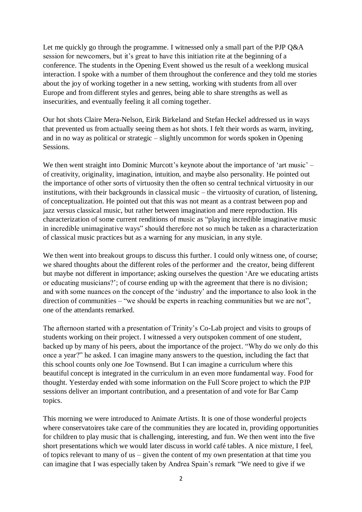Let me quickly go through the programme. I witnessed only a small part of the PJP Q&A session for newcomers, but it's great to have this initiation rite at the beginning of a conference. The students in the Opening Event showed us the result of a weeklong musical interaction. I spoke with a number of them throughout the conference and they told me stories about the joy of working together in a new setting, working with students from all over Europe and from different styles and genres, being able to share strengths as well as insecurities, and eventually feeling it all coming together.

Our hot shots Claire Mera-Nelson, Eirik Birkeland and Stefan Heckel addressed us in ways that prevented us from actually seeing them as hot shots. I felt their words as warm, inviting, and in no way as political or strategic – slightly uncommon for words spoken in Opening Sessions.

We then went straight into Dominic Murcott's keynote about the importance of 'art music' – of creativity, originality, imagination, intuition, and maybe also personality. He pointed out the importance of other sorts of virtuosity then the often so central technical virtuosity in our institutions, with their backgrounds in classical music – the virtuosity of curation, of listening, of conceptualization. He pointed out that this was not meant as a contrast between pop and jazz versus classical music, but rather between imagination and mere reproduction. His characterization of some current renditions of music as "playing incredible imaginative music in incredible unimaginative ways" should therefore not so much be taken as a characterization of classical music practices but as a warning for any musician, in any style.

We then went into breakout groups to discuss this further. I could only witness one, of course; we shared thoughts about the different roles of the performer and the creator, being different but maybe not different in importance; asking ourselves the question 'Are we educating artists or educating musicians?'; of course ending up with the agreement that there is no division; and with some nuances on the concept of the 'industry' and the importance to also look in the direction of communities – "we should be experts in reaching communities but we are not", one of the attendants remarked.

The afternoon started with a presentation of Trinity's Co-Lab project and visits to groups of students working on their project. I witnessed a very outspoken comment of one student, backed up by many of his peers, about the importance of the project. "Why do we only do this once a year?" he asked. I can imagine many answers to the question, including the fact that this school counts only one Joe Townsend. But I can imagine a curriculum where this beautiful concept is integrated in the curriculum in an even more fundamental way. Food for thought. Yesterday ended with some information on the Full Score project to which the PJP sessions deliver an important contribution, and a presentation of and vote for Bar Camp topics.

This morning we were introduced to Animate Artists. It is one of those wonderful projects where conservatoires take care of the communities they are located in, providing opportunities for children to play music that is challenging, interesting, and fun. We then went into the five short presentations which we would later discuss in world café tables. A nice mixture, I feel, of topics relevant to many of us – given the content of my own presentation at that time you can imagine that I was especially taken by Andrea Spain's remark "We need to give if we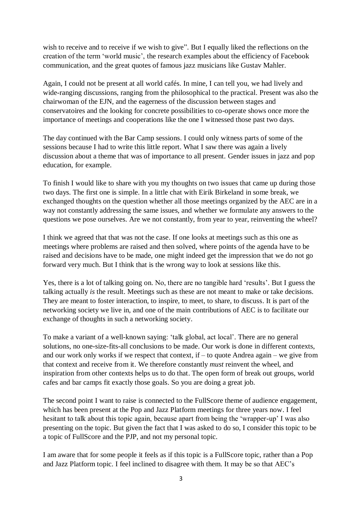wish to receive and to receive if we wish to give". But I equally liked the reflections on the creation of the term 'world music', the research examples about the efficiency of Facebook communication, and the great quotes of famous jazz musicians like Gustav Mahler.

Again, I could not be present at all world cafés. In mine, I can tell you, we had lively and wide-ranging discussions, ranging from the philosophical to the practical. Present was also the chairwoman of the EJN, and the eagerness of the discussion between stages and conservatoires and the looking for concrete possibilities to co-operate shows once more the importance of meetings and cooperations like the one I witnessed those past two days.

The day continued with the Bar Camp sessions. I could only witness parts of some of the sessions because I had to write this little report. What I saw there was again a lively discussion about a theme that was of importance to all present. Gender issues in jazz and pop education, for example.

To finish I would like to share with you my thoughts on two issues that came up during those two days. The first one is simple. In a little chat with Eirik Birkeland in some break, we exchanged thoughts on the question whether all those meetings organized by the AEC are in a way not constantly addressing the same issues, and whether we formulate any answers to the questions we pose ourselves. Are we not constantly, from year to year, reinventing the wheel?

I think we agreed that that was not the case. If one looks at meetings such as this one as meetings where problems are raised and then solved, where points of the agenda have to be raised and decisions have to be made, one might indeed get the impression that we do not go forward very much. But I think that is the wrong way to look at sessions like this.

Yes, there is a lot of talking going on. No, there are no tangible hard 'results'. But I guess the talking actually *is* the result. Meetings such as these are not meant to make or take decisions. They are meant to foster interaction, to inspire, to meet, to share, to discuss. It is part of the networking society we live in, and one of the main contributions of AEC is to facilitate our exchange of thoughts in such a networking society.

To make a variant of a well-known saying: 'talk global, act local'. There are no general solutions, no one-size-fits-all conclusions to be made. Our work is done in different contexts, and our work only works if we respect that context, if – to quote Andrea again – we give from that context and receive from it. We therefore constantly *must* reinvent the wheel, and inspiration from other contexts helps us to do that. The open form of break out groups, world cafes and bar camps fit exactly those goals. So you are doing a great job.

The second point I want to raise is connected to the FullScore theme of audience engagement, which has been present at the Pop and Jazz Platform meetings for three years now. I feel hesitant to talk about this topic again, because apart from being the 'wrapper-up' I was also presenting on the topic. But given the fact that I was asked to do so, I consider this topic to be a topic of FullScore and the PJP, and not my personal topic.

I am aware that for some people it feels as if this topic is a FullScore topic, rather than a Pop and Jazz Platform topic. I feel inclined to disagree with them. It may be so that AEC's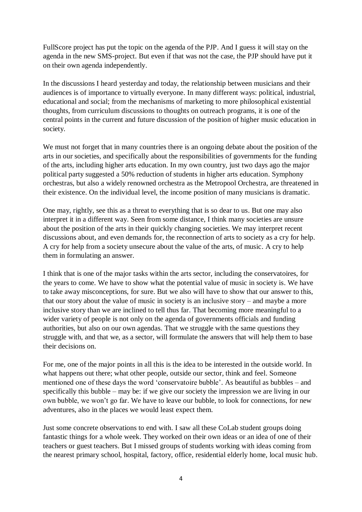FullScore project has put the topic on the agenda of the PJP. And I guess it will stay on the agenda in the new SMS-project. But even if that was not the case, the PJP should have put it on their own agenda independently.

In the discussions I heard yesterday and today, the relationship between musicians and their audiences is of importance to virtually everyone. In many different ways: political, industrial, educational and social; from the mechanisms of marketing to more philosophical existential thoughts, from curriculum discussions to thoughts on outreach programs, it is one of the central points in the current and future discussion of the position of higher music education in society.

We must not forget that in many countries there is an ongoing debate about the position of the arts in our societies, and specifically about the responsibilities of governments for the funding of the arts, including higher arts education. In my own country, just two days ago the major political party suggested a 50% reduction of students in higher arts education. Symphony orchestras, but also a widely renowned orchestra as the Metropool Orchestra, are threatened in their existence. On the individual level, the income position of many musicians is dramatic.

One may, rightly, see this as a threat to everything that is so dear to us. But one may also interpret it in a different way. Seen from some distance, I think many societies are unsure about the position of the arts in their quickly changing societies. We may interpret recent discussions about, and even demands for, the reconnection of arts to society as a cry for help. A cry for help from a society unsecure about the value of the arts, of music. A cry to help them in formulating an answer.

I think that is one of the major tasks within the arts sector, including the conservatoires, for the years to come. We have to show what the potential value of music in society is. We have to take away misconceptions, for sure. But we also will have to show that our answer to this, that our story about the value of music in society is an inclusive story – and maybe a more inclusive story than we are inclined to tell thus far. That becoming more meaningful to a wider variety of people is not only on the agenda of governments officials and funding authorities, but also on our own agendas. That we struggle with the same questions they struggle with, and that we, as a sector, will formulate the answers that will help them to base their decisions on.

For me, one of the major points in all this is the idea to be interested in the outside world. In what happens out there; what other people, outside our sector, think and feel. Someone mentioned one of these days the word 'conservatoire bubble'. As beautiful as bubbles – and specifically this bubble – may be: if we give our society the impression we are living in our own bubble, we won't go far. We have to leave our bubble, to look for connections, for new adventures, also in the places we would least expect them.

Just some concrete observations to end with. I saw all these CoLab student groups doing fantastic things for a whole week. They worked on their own ideas or an idea of one of their teachers or guest teachers. But I missed groups of students working with ideas coming from the nearest primary school, hospital, factory, office, residential elderly home, local music hub.